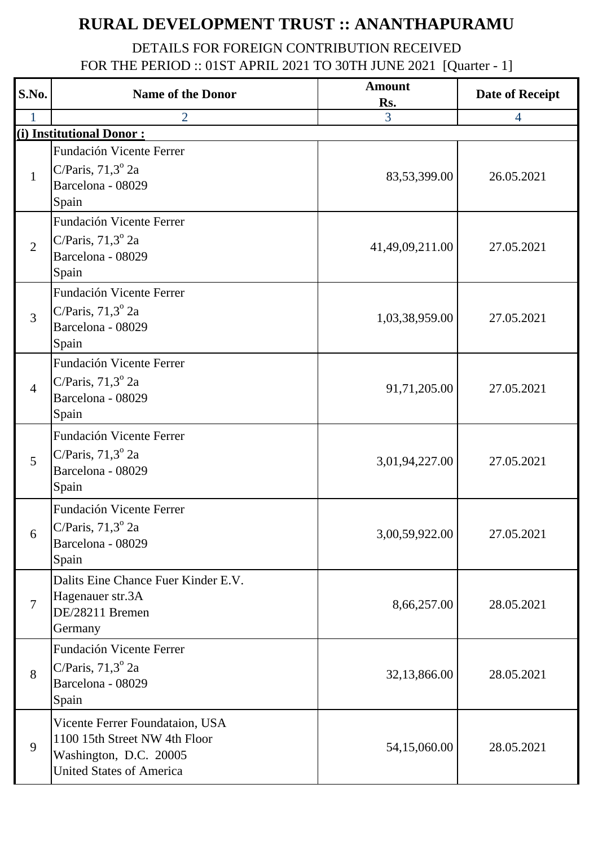## **RURAL DEVELOPMENT TRUST :: ANANTHAPURAMU**

## DETAILS FOR FOREIGN CONTRIBUTION RECEIVED FOR THE PERIOD :: 01ST APRIL 2021 TO 30TH JUNE 2021 [Quarter - 1]

| S.No.          | <b>Name of the Donor</b>                                                                                                      | <b>Amount</b><br>Rs. | <b>Date of Receipt</b> |
|----------------|-------------------------------------------------------------------------------------------------------------------------------|----------------------|------------------------|
|                | $\overline{2}$                                                                                                                | 3                    | $\overline{4}$         |
|                | (i) Institutional Donor:                                                                                                      |                      |                        |
| $\mathbf{1}$   | Fundación Vicente Ferrer<br>C/Paris, $71,3^{\circ}$ 2a<br>Barcelona - 08029<br>Spain                                          | 83,53,399.00         | 26.05.2021             |
| $\overline{2}$ | Fundación Vicente Ferrer<br>C/Paris, $71,3^{\circ}$ 2a<br>Barcelona - 08029<br>Spain                                          | 41,49,09,211.00      | 27.05.2021             |
| $\overline{3}$ | Fundación Vicente Ferrer<br>C/Paris, $71,3^{\circ}$ 2a<br>Barcelona - 08029<br>Spain                                          | 1,03,38,959.00       | 27.05.2021             |
| $\overline{4}$ | Fundación Vicente Ferrer<br>C/Paris, $71,3^{\circ}$ 2a<br>Barcelona - 08029<br>Spain                                          | 91,71,205.00         | 27.05.2021             |
| 5              | Fundación Vicente Ferrer<br>C/Paris, $71,3^{\circ}$ 2a<br>Barcelona - 08029<br>Spain                                          | 3,01,94,227.00       | 27.05.2021             |
| 6              | Fundación Vicente Ferrer<br>C/Paris, $71,3^{\circ}$ 2a<br>Barcelona - 08029<br>Spain                                          | 3,00,59,922.00       | 27.05.2021             |
| $\overline{7}$ | Dalits Eine Chance Fuer Kinder E.V.<br>Hagenauer str.3A<br>DE/28211 Bremen<br>Germany                                         | 8,66,257.00          | 28.05.2021             |
| 8              | Fundación Vicente Ferrer<br>C/Paris, $71,3^{\circ}$ 2a<br>Barcelona - 08029<br>Spain                                          | 32,13,866.00         | 28.05.2021             |
| 9              | Vicente Ferrer Foundataion, USA<br>1100 15th Street NW 4th Floor<br>Washington, D.C. 20005<br><b>United States of America</b> | 54,15,060.00         | 28.05.2021             |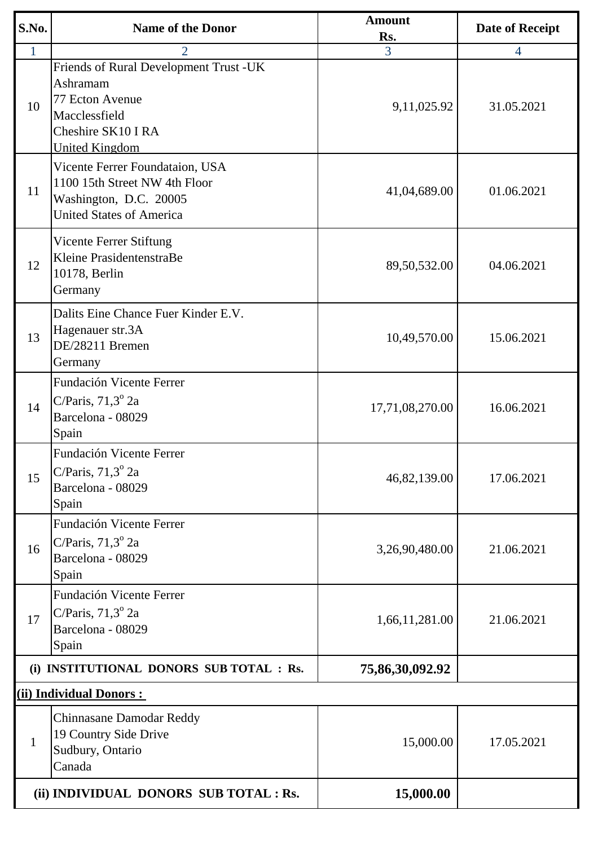| S.No.                   | <b>Name of the Donor</b>                                                                                                              | <b>Amount</b><br>Rs. | Date of Receipt |  |  |
|-------------------------|---------------------------------------------------------------------------------------------------------------------------------------|----------------------|-----------------|--|--|
| $\mathbf{1}$            | $\overline{2}$                                                                                                                        | 3                    | $\overline{4}$  |  |  |
| 10                      | Friends of Rural Development Trust -UK<br>Ashramam<br>77 Ecton Avenue<br>Macclessfield<br>Cheshire SK10 I RA<br><b>United Kingdom</b> | 9,11,025.92          | 31.05.2021      |  |  |
| 11                      | Vicente Ferrer Foundataion, USA<br>1100 15th Street NW 4th Floor<br>Washington, D.C. 20005<br><b>United States of America</b>         | 41,04,689.00         | 01.06.2021      |  |  |
| 12                      | Vicente Ferrer Stiftung<br>Kleine PrasidentenstraBe<br>10178, Berlin<br>Germany                                                       | 89,50,532.00         | 04.06.2021      |  |  |
| 13                      | Dalits Eine Chance Fuer Kinder E.V.<br>Hagenauer str.3A<br>DE/28211 Bremen<br>Germany                                                 | 10,49,570.00         | 15.06.2021      |  |  |
| 14                      | Fundación Vicente Ferrer<br>C/Paris, $71,3^{\circ}$ 2a<br>Barcelona - 08029<br>Spain                                                  | 17,71,08,270.00      | 16.06.2021      |  |  |
| 15                      | Fundación Vicente Ferrer<br>C/Paris, $71,3^{\circ}$ 2a<br>Barcelona - 08029<br>Spain                                                  | 46,82,139.00         | 17.06.2021      |  |  |
| 16                      | Fundación Vicente Ferrer<br>C/Paris, $71,3^{\circ}$ 2a<br>Barcelona - 08029<br>Spain                                                  | 3,26,90,480.00       | 21.06.2021      |  |  |
| 17                      | Fundación Vicente Ferrer<br>C/Paris, $71,3^{\circ}$ 2a<br>Barcelona - 08029<br>Spain                                                  | 1,66,11,281.00       | 21.06.2021      |  |  |
|                         | (i) INSTITUTIONAL DONORS SUB TOTAL : Rs.                                                                                              | 75,86,30,092.92      |                 |  |  |
| (ii) Individual Donors: |                                                                                                                                       |                      |                 |  |  |
| $\mathbf{1}$            | Chinnasane Damodar Reddy<br>19 Country Side Drive<br>Sudbury, Ontario<br>Canada                                                       | 15,000.00            | 17.05.2021      |  |  |
|                         | (ii) INDIVIDUAL DONORS SUB TOTAL : Rs.                                                                                                | 15,000.00            |                 |  |  |